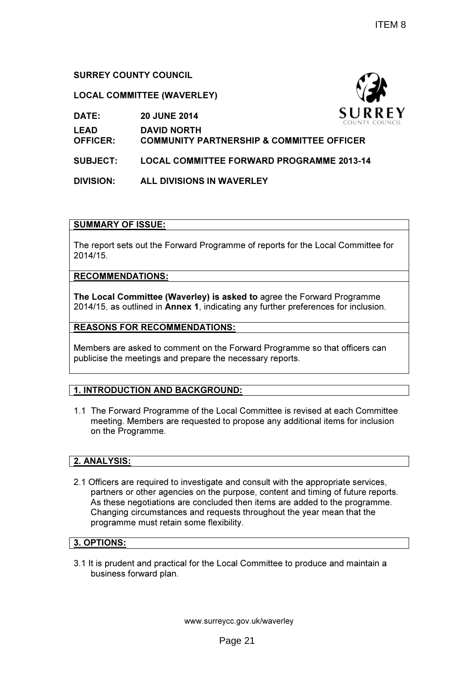# SURREY COUNTY COUNCIL

DATE: 20 JUNE 2014

### LOCAL COMMITTEE (WAVERLEY)

|                 | COUNTY (                                             |
|-----------------|------------------------------------------------------|
| <b>LEAD</b>     | <b>DAVID NORTH</b>                                   |
| <b>OFFICER:</b> | <b>COMMUNITY PARTNERSHIP &amp; COMMITTEE OFFICER</b> |
|                 |                                                      |

- SUBJECT: LOCAL COMMITTEE FORWARD PROGRAMME 2013-14
- DIVISION: ALL DIVISIONS IN WAVERLEY

### SUMMARY OF ISSUE:

The report sets out the Forward Programme of reports for the Local Committee for 2014/15.

#### RECOMMENDATIONS:

The Local Committee (Waverley) is asked to agree the Forward Programme 2014/15, as outlined in Annex 1, indicating any further preferences for inclusion.

### REASONS FOR RECOMMENDATIONS:

Members are asked to comment on the Forward Programme so that officers can publicise the meetings and prepare the necessary reports.

# 1. INTRODUCTION AND BACKGROUND:

1.1 The Forward Programme of the Local Committee is revised at each Committee meeting. Members are requested to propose any additional items for inclusion on the Programme.

### 2. ANALYSIS:

2.1 Officers are required to investigate and consult with the appropriate services, partners or other agencies on the purpose, content and timing of future reports. As these negotiations are concluded then items are added to the programme. Changing circumstances and requests throughout the year mean that the programme must retain some flexibility.

### 3. OPTIONS:

3.1 It is prudent and practical for the Local Committee to produce and maintain a business forward plan.

www.surreycc.gov.uk/waverley